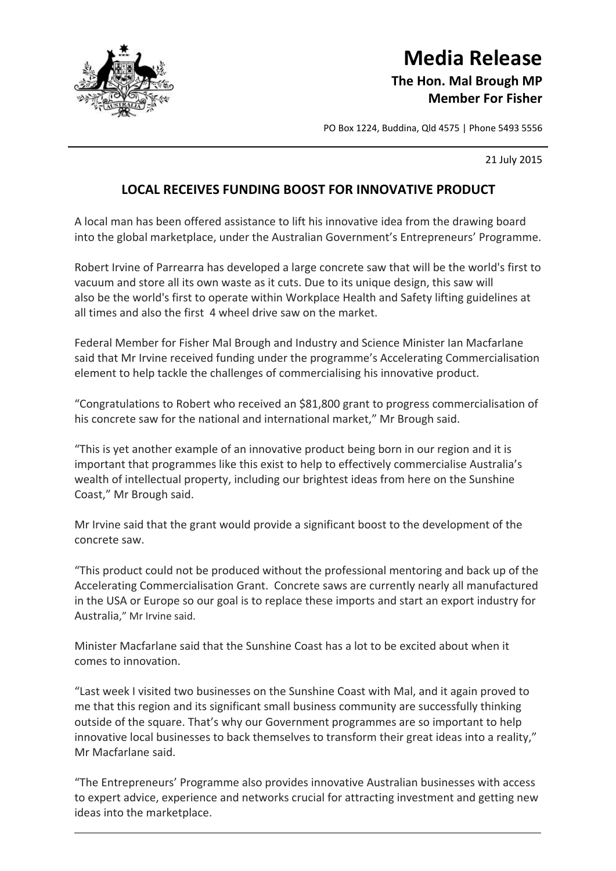

## **Media Release The Hon. Mal Brough MP Member For Fisher**

PO Box 1224, Buddina, Qld 4575 | Phone 5493 5556

21 July 2015

## **LOCAL RECEIVES FUNDING BOOST FOR INNOVATIVE PRODUCT**

A local man has been offered assistance to lift his innovative idea from the drawing board into the global marketplace, under the Australian Government's Entrepreneurs' Programme.

Robert Irvine of Parrearra has developed a large concrete saw that will be the world's first to vacuum and store all its own waste as it cuts. Due to its unique design, this saw will also be the world's first to operate within Workplace Health and Safety lifting guidelines at all times and also the first 4 wheel drive saw on the market.

Federal Member for Fisher Mal Brough and Industry and Science Minister Ian Macfarlane said that Mr Irvine received funding under the programme's Accelerating Commercialisation element to help tackle the challenges of commercialising his innovative product.

"Congratulations to Robert who received an \$81,800 grant to progress commercialisation of his concrete saw for the national and international market," Mr Brough said.

"This is yet another example of an innovative product being born in our region and it is important that programmes like this exist to help to effectively commercialise Australia's wealth of intellectual property, including our brightest ideas from here on the Sunshine Coast," Mr Brough said.

Mr Irvine said that the grant would provide a significant boost to the development of the concrete saw.

"This product could not be produced without the professional mentoring and back up of the Accelerating Commercialisation Grant. Concrete saws are currently nearly all manufactured in the USA or Europe so our goal is to replace these imports and start an export industry for Australia," Mr Irvine said.

Minister Macfarlane said that the Sunshine Coast has a lot to be excited about when it comes to innovation.

"Last week I visited two businesses on the Sunshine Coast with Mal, and it again proved to me that this region and its significant small business community are successfully thinking outside of the square. That's why our Government programmes are so important to help innovative local businesses to back themselves to transform their great ideas into a reality," Mr Macfarlane said.

"The Entrepreneurs' Programme also provides innovative Australian businesses with access to expert advice, experience and networks crucial for attracting investment and getting new ideas into the marketplace.

<u> 1988 - Johann Barn, mars ann an Catharin ann an t-Aonaichte ann an t-Aonaichte ann an t-Aonaichte ann an t-Ao</u>